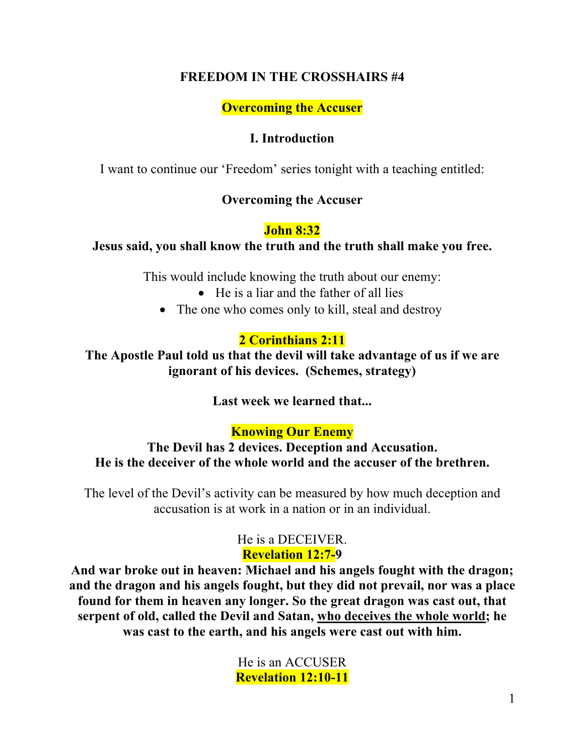## **FREEDOM IN THE CROSSHAIRS #4**

**Overcoming the Accuser**

### **I. Introduction**

I want to continue our 'Freedom' series tonight with a teaching entitled:

## **Overcoming the Accuser**

## **John 8:32**

### **Jesus said, you shall know the truth and the truth shall make you free.**

This would include knowing the truth about our enemy:

- He is a liar and the father of all lies
- The one who comes only to kill, steal and destroy

## **2 Corinthians 2:11**

**The Apostle Paul told us that the devil will take advantage of us if we are ignorant of his devices. (Schemes, strategy)**

**Last week we learned that...**

# **Knowing Our Enemy**

**The Devil has 2 devices. Deception and Accusation. He is the deceiver of the whole world and the accuser of the brethren.**

The level of the Devil's activity can be measured by how much deception and accusation is at work in a nation or in an individual.

## He is a DECEIVER. **Revelation 12:7-9**

**And war broke out in heaven: Michael and his angels fought with the dragon; and the dragon and his angels fought, but they did not prevail, nor was a place found for them in heaven any longer. So the great dragon was cast out, that serpent of old, called the Devil and Satan, who deceives the whole world; he was cast to the earth, and his angels were cast out with him.** 

> He is an ACCUSER **Revelation 12:10-11**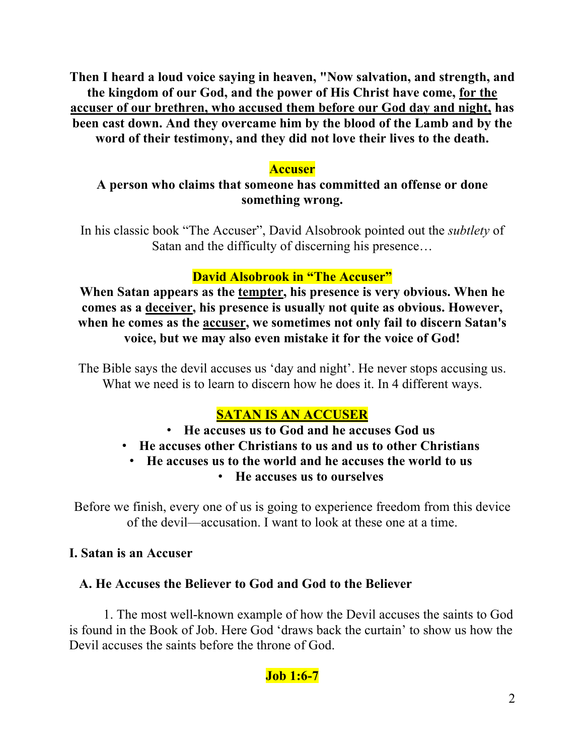**Then I heard a loud voice saying in heaven, "Now salvation, and strength, and the kingdom of our God, and the power of His Christ have come, for the accuser of our brethren, who accused them before our God day and night, has been cast down. And they overcame him by the blood of the Lamb and by the word of their testimony, and they did not love their lives to the death.** 

## **Accuser**

# **A person who claims that someone has committed an offense or done something wrong.**

In his classic book "The Accuser", David Alsobrook pointed out the *subtlety* of Satan and the difficulty of discerning his presence…

# **David Alsobrook in "The Accuser"**

**When Satan appears as the tempter, his presence is very obvious. When he comes as a deceiver, his presence is usually not quite as obvious. However, when he comes as the accuser, we sometimes not only fail to discern Satan's voice, but we may also even mistake it for the voice of God!**

The Bible says the devil accuses us 'day and night'. He never stops accusing us. What we need is to learn to discern how he does it. In 4 different ways.

# **SATAN IS AN ACCUSER**

- **He accuses us to God and he accuses God us**
- **He accuses other Christians to us and us to other Christians**
	- **He accuses us to the world and he accuses the world to us**
		- **He accuses us to ourselves**

Before we finish, every one of us is going to experience freedom from this device of the devil—accusation. I want to look at these one at a time.

## **I. Satan is an Accuser**

# **A. He Accuses the Believer to God and God to the Believer**

1. The most well-known example of how the Devil accuses the saints to God is found in the Book of Job. Here God 'draws back the curtain' to show us how the Devil accuses the saints before the throne of God.

# **Job 1:6-7**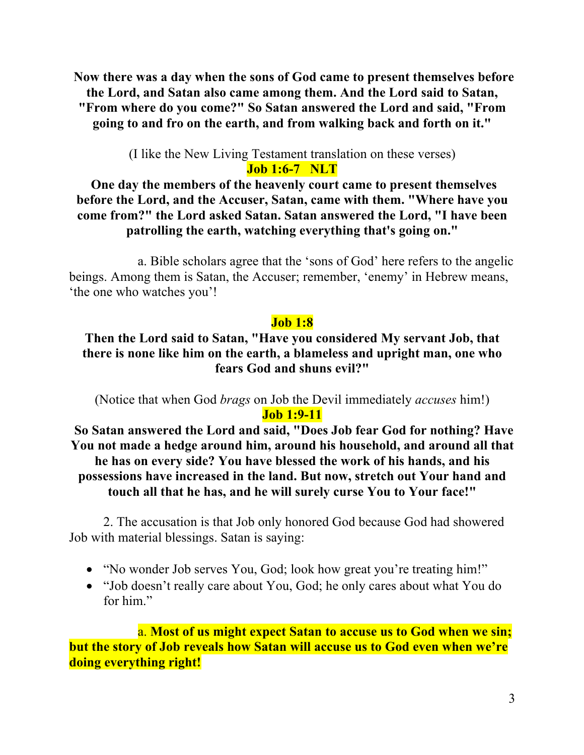**Now there was a day when the sons of God came to present themselves before the Lord, and Satan also came among them. And the Lord said to Satan, "From where do you come?" So Satan answered the Lord and said, "From going to and fro on the earth, and from walking back and forth on it."** 

> (I like the New Living Testament translation on these verses) **Job 1:6-7 NLT**

**One day the members of the heavenly court came to present themselves before the Lord, and the Accuser, Satan, came with them. "Where have you come from?" the Lord asked Satan. Satan answered the Lord, "I have been patrolling the earth, watching everything that's going on."**

a. Bible scholars agree that the 'sons of God' here refers to the angelic beings. Among them is Satan, the Accuser; remember, 'enemy' in Hebrew means, 'the one who watches you'!

#### **Job 1:8**

### **Then the Lord said to Satan, "Have you considered My servant Job, that there is none like him on the earth, a blameless and upright man, one who fears God and shuns evil?"**

(Notice that when God *brags* on Job the Devil immediately *accuses* him!) **Job 1:9-11**

**So Satan answered the Lord and said, "Does Job fear God for nothing? Have You not made a hedge around him, around his household, and around all that he has on every side? You have blessed the work of his hands, and his possessions have increased in the land. But now, stretch out Your hand and touch all that he has, and he will surely curse You to Your face!"** 

2. The accusation is that Job only honored God because God had showered Job with material blessings. Satan is saying:

- "No wonder Job serves You, God; look how great you're treating him!"
- "Job doesn't really care about You, God; he only cares about what You do for him."

a. **Most of us might expect Satan to accuse us to God when we sin; but the story of Job reveals how Satan will accuse us to God even when we're doing everything right!**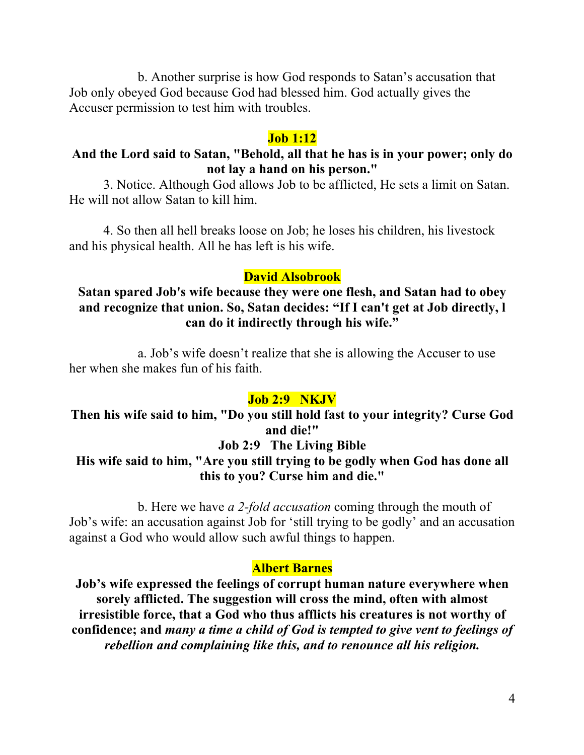b. Another surprise is how God responds to Satan's accusation that Job only obeyed God because God had blessed him. God actually gives the Accuser permission to test him with troubles.

#### **Job 1:12**

### **And the Lord said to Satan, "Behold, all that he has is in your power; only do not lay a hand on his person."**

3. Notice. Although God allows Job to be afflicted, He sets a limit on Satan. He will not allow Satan to kill him.

4. So then all hell breaks loose on Job; he loses his children, his livestock and his physical health. All he has left is his wife.

#### **David Alsobrook**

### **Satan spared Job's wife because they were one flesh, and Satan had to obey and recognize that union. So, Satan decides: "If I can't get at Job directly, l can do it indirectly through his wife."**

a. Job's wife doesn't realize that she is allowing the Accuser to use her when she makes fun of his faith.

#### **Job 2:9 NKJV**

### **Then his wife said to him, "Do you still hold fast to your integrity? Curse God and die!" Job 2:9 The Living Bible**

## **His wife said to him, "Are you still trying to be godly when God has done all this to you? Curse him and die."**

b. Here we have *a 2-fold accusation* coming through the mouth of Job's wife: an accusation against Job for 'still trying to be godly' and an accusation against a God who would allow such awful things to happen.

#### **Albert Barnes**

**Job's wife expressed the feelings of corrupt human nature everywhere when sorely afflicted. The suggestion will cross the mind, often with almost irresistible force, that a God who thus afflicts his creatures is not worthy of confidence; and** *many a time a child of God is tempted to give vent to feelings of rebellion and complaining like this, and to renounce all his religion.*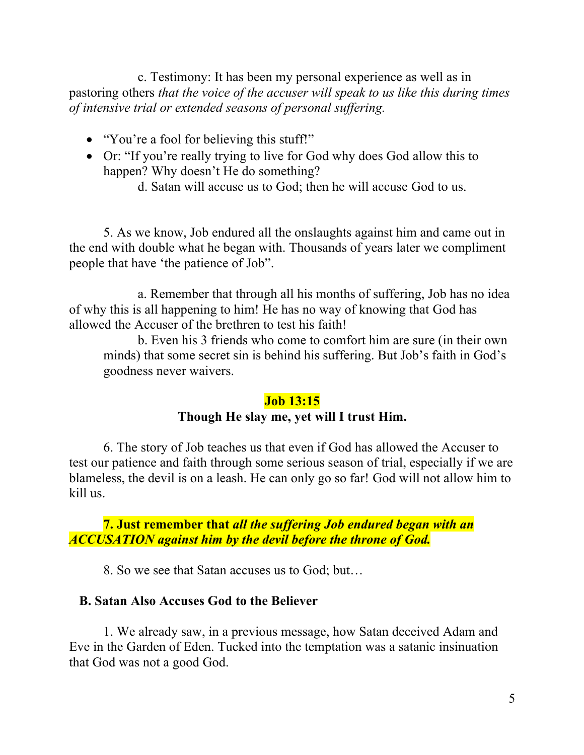c. Testimony: It has been my personal experience as well as in pastoring others *that the voice of the accuser will speak to us like this during times of intensive trial or extended seasons of personal suffering.*

- "You're a fool for believing this stuff!"
- Or: "If you're really trying to live for God why does God allow this to happen? Why doesn't He do something?
	- d. Satan will accuse us to God; then he will accuse God to us.

5. As we know, Job endured all the onslaughts against him and came out in the end with double what he began with. Thousands of years later we compliment people that have 'the patience of Job".

a. Remember that through all his months of suffering, Job has no idea of why this is all happening to him! He has no way of knowing that God has allowed the Accuser of the brethren to test his faith!

b. Even his 3 friends who come to comfort him are sure (in their own minds) that some secret sin is behind his suffering. But Job's faith in God's goodness never waivers.

#### **Job 13:15**

### **Though He slay me, yet will I trust Him.**

6. The story of Job teaches us that even if God has allowed the Accuser to test our patience and faith through some serious season of trial, especially if we are blameless, the devil is on a leash. He can only go so far! God will not allow him to kill us.

**7. Just remember that** *all the suffering Job endured began with an ACCUSATION against him by the devil before the throne of God.*

8. So we see that Satan accuses us to God; but…

#### **B. Satan Also Accuses God to the Believer**

1. We already saw, in a previous message, how Satan deceived Adam and Eve in the Garden of Eden. Tucked into the temptation was a satanic insinuation that God was not a good God.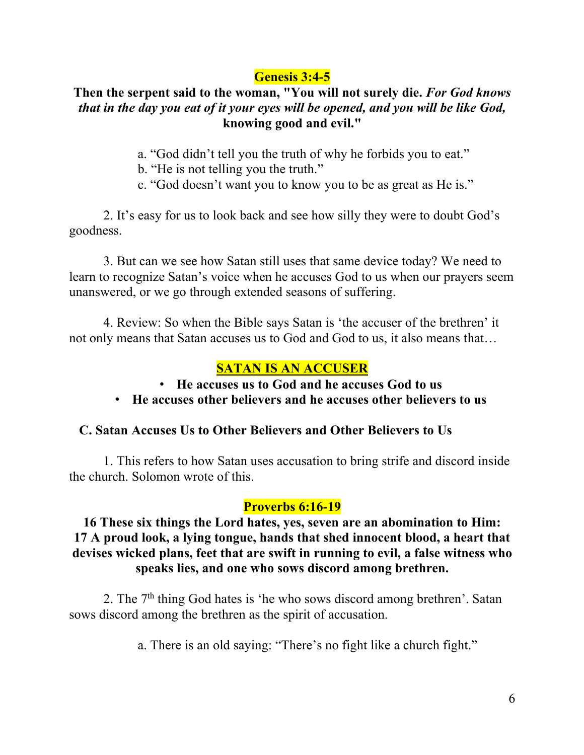# **Genesis 3:4-5**

## **Then the serpent said to the woman, "You will not surely die.** *For God knows that in the day you eat of it your eyes will be opened, and you will be like God,* **knowing good and evil."**

a. "God didn't tell you the truth of why he forbids you to eat."

- b. "He is not telling you the truth."
- c. "God doesn't want you to know you to be as great as He is."

2. It's easy for us to look back and see how silly they were to doubt God's goodness.

3. But can we see how Satan still uses that same device today? We need to learn to recognize Satan's voice when he accuses God to us when our prayers seem unanswered, or we go through extended seasons of suffering.

4. Review: So when the Bible says Satan is 'the accuser of the brethren' it not only means that Satan accuses us to God and God to us, it also means that…

# **SATAN IS AN ACCUSER**

- **He accuses us to God and he accuses God to us**
- **He accuses other believers and he accuses other believers to us**

## **C. Satan Accuses Us to Other Believers and Other Believers to Us**

1. This refers to how Satan uses accusation to bring strife and discord inside the church. Solomon wrote of this.

## **Proverbs 6:16-19**

### **16 These six things the Lord hates, yes, seven are an abomination to Him: 17 A proud look, a lying tongue, hands that shed innocent blood, a heart that devises wicked plans, feet that are swift in running to evil, a false witness who speaks lies, and one who sows discord among brethren.**

2. The  $7<sup>th</sup>$  thing God hates is 'he who sows discord among brethren'. Satan sows discord among the brethren as the spirit of accusation.

a. There is an old saying: "There's no fight like a church fight."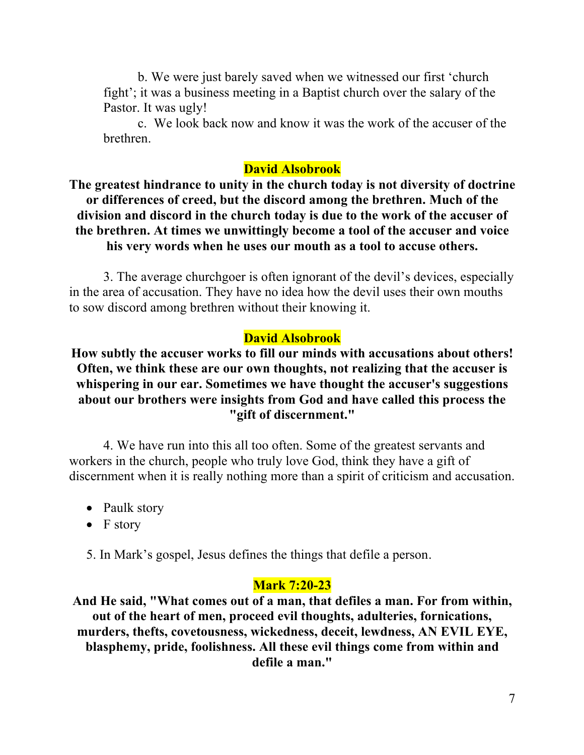b. We were just barely saved when we witnessed our first 'church fight'; it was a business meeting in a Baptist church over the salary of the Pastor. It was ugly!

c. We look back now and know it was the work of the accuser of the brethren.

#### **David Alsobrook**

**The greatest hindrance to unity in the church today is not diversity of doctrine or differences of creed, but the discord among the brethren. Much of the division and discord in the church today is due to the work of the accuser of the brethren. At times we unwittingly become a tool of the accuser and voice his very words when he uses our mouth as a tool to accuse others.**

3. The average churchgoer is often ignorant of the devil's devices, especially in the area of accusation. They have no idea how the devil uses their own mouths to sow discord among brethren without their knowing it.

### **David Alsobrook**

**How subtly the accuser works to fill our minds with accusations about others! Often, we think these are our own thoughts, not realizing that the accuser is whispering in our ear. Sometimes we have thought the accuser's suggestions about our brothers were insights from God and have called this process the "gift of discernment."**

4. We have run into this all too often. Some of the greatest servants and workers in the church, people who truly love God, think they have a gift of discernment when it is really nothing more than a spirit of criticism and accusation.

- Paulk story
- F story

5. In Mark's gospel, Jesus defines the things that defile a person.

#### **Mark 7:20-23**

**And He said, "What comes out of a man, that defiles a man. For from within, out of the heart of men, proceed evil thoughts, adulteries, fornications, murders, thefts, covetousness, wickedness, deceit, lewdness, AN EVIL EYE, blasphemy, pride, foolishness. All these evil things come from within and defile a man."**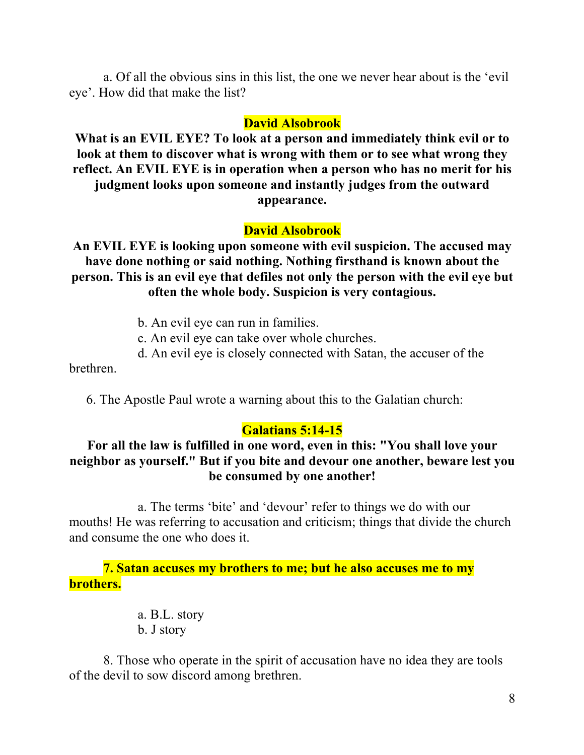a. Of all the obvious sins in this list, the one we never hear about is the 'evil eye'. How did that make the list?

#### **David Alsobrook**

**What is an EVIL EYE? To look at a person and immediately think evil or to look at them to discover what is wrong with them or to see what wrong they reflect. An EVIL EYE is in operation when a person who has no merit for his judgment looks upon someone and instantly judges from the outward appearance.**

#### **David Alsobrook**

**An EVIL EYE is looking upon someone with evil suspicion. The accused may have done nothing or said nothing. Nothing firsthand is known about the person. This is an evil eye that defiles not only the person with the evil eye but often the whole body. Suspicion is very contagious.**

- b. An evil eye can run in families.
- c. An evil eye can take over whole churches.
- d. An evil eye is closely connected with Satan, the accuser of the

brethren.

6. The Apostle Paul wrote a warning about this to the Galatian church:

#### **Galatians 5:14-15**

### **For all the law is fulfilled in one word, even in this: "You shall love your neighbor as yourself." But if you bite and devour one another, beware lest you be consumed by one another!**

a. The terms 'bite' and 'devour' refer to things we do with our mouths! He was referring to accusation and criticism; things that divide the church and consume the one who does it.

### **7. Satan accuses my brothers to me; but he also accuses me to my brothers.**

a. B.L. story b. J story

8. Those who operate in the spirit of accusation have no idea they are tools of the devil to sow discord among brethren.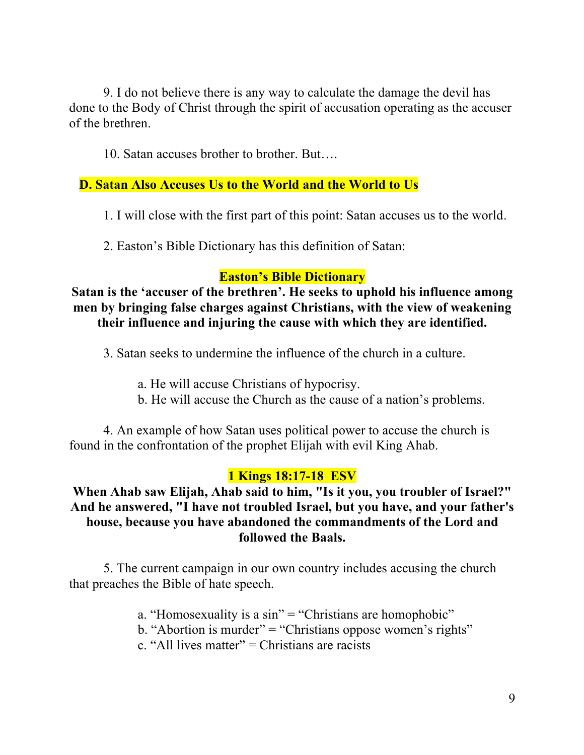9. I do not believe there is any way to calculate the damage the devil has done to the Body of Christ through the spirit of accusation operating as the accuser of the brethren.

10. Satan accuses brother to brother. But….

### **D. Satan Also Accuses Us to the World and the World to Us**

1. I will close with the first part of this point: Satan accuses us to the world.

2. Easton's Bible Dictionary has this definition of Satan:

### **Easton's Bible Dictionary**

**Satan is the 'accuser of the brethren'. He seeks to uphold his influence among men by bringing false charges against Christians, with the view of weakening their influence and injuring the cause with which they are identified.**

3. Satan seeks to undermine the influence of the church in a culture.

- a. He will accuse Christians of hypocrisy.
- b. He will accuse the Church as the cause of a nation's problems.

4. An example of how Satan uses political power to accuse the church is found in the confrontation of the prophet Elijah with evil King Ahab.

## **1 Kings 18:17-18 ESV**

## **When Ahab saw Elijah, Ahab said to him, "Is it you, you troubler of Israel?" And he answered, "I have not troubled Israel, but you have, and your father's house, because you have abandoned the commandments of the Lord and followed the Baals.**

5. The current campaign in our own country includes accusing the church that preaches the Bible of hate speech.

- a. "Homosexuality is a sin" = "Christians are homophobic"
- b. "Abortion is murder" = "Christians oppose women's rights"
- c. "All lives matter" = Christians are racists